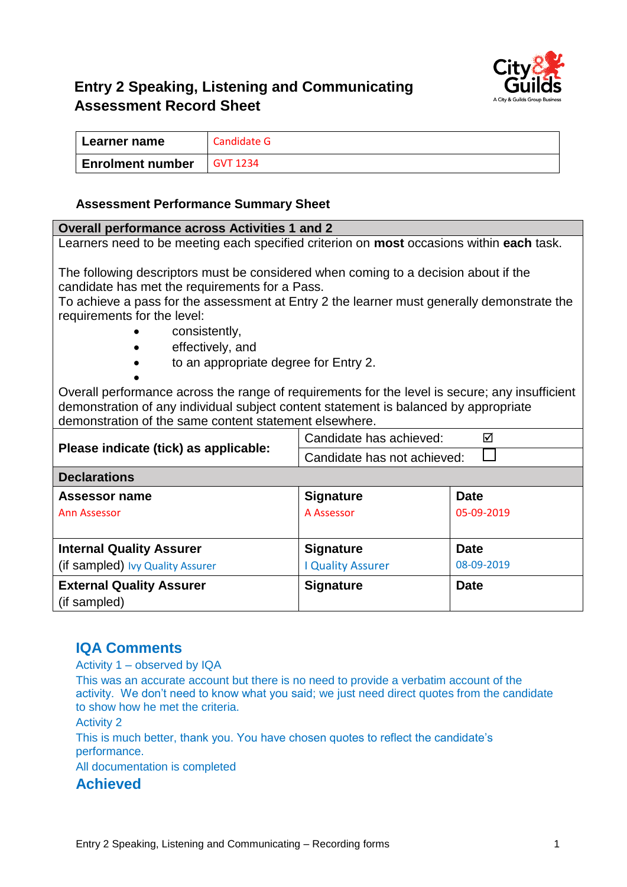

# **Entry 2 Speaking, Listening and Communicating Assessment Record Sheet**

| Learner name            | Candidate G     |
|-------------------------|-----------------|
| <b>Enrolment number</b> | <b>GVT 1234</b> |

#### **Assessment Performance Summary Sheet**

| <b>Overall performance across Activities 1 and 2</b>                                            |                              |             |  |  |
|-------------------------------------------------------------------------------------------------|------------------------------|-------------|--|--|
| Learners need to be meeting each specified criterion on <b>most</b> occasions within each task. |                              |             |  |  |
|                                                                                                 |                              |             |  |  |
| The following descriptors must be considered when coming to a decision about if the             |                              |             |  |  |
| candidate has met the requirements for a Pass.                                                  |                              |             |  |  |
| To achieve a pass for the assessment at Entry 2 the learner must generally demonstrate the      |                              |             |  |  |
| requirements for the level:                                                                     |                              |             |  |  |
| consistently,                                                                                   |                              |             |  |  |
| effectively, and                                                                                |                              |             |  |  |
| to an appropriate degree for Entry 2.                                                           |                              |             |  |  |
|                                                                                                 |                              |             |  |  |
| Overall performance across the range of requirements for the level is secure; any insufficient  |                              |             |  |  |
| demonstration of any individual subject content statement is balanced by appropriate            |                              |             |  |  |
| demonstration of the same content statement elsewhere.                                          |                              |             |  |  |
|                                                                                                 | Candidate has achieved:<br>☑ |             |  |  |
| Please indicate (tick) as applicable:                                                           | Candidate has not achieved:  |             |  |  |
| <b>Declarations</b>                                                                             |                              |             |  |  |
| Assessor name                                                                                   | <b>Signature</b>             | Date        |  |  |
| <b>Ann Assessor</b>                                                                             | A Assessor                   | 05-09-2019  |  |  |
|                                                                                                 |                              |             |  |  |
| <b>Internal Quality Assurer</b>                                                                 | <b>Signature</b>             | <b>Date</b> |  |  |
| (if sampled) Ivy Quality Assurer                                                                | <b>I Quality Assurer</b>     | 08-09-2019  |  |  |
| <b>External Quality Assurer</b>                                                                 | <b>Signature</b>             | <b>Date</b> |  |  |
| (if sampled)                                                                                    |                              |             |  |  |
|                                                                                                 |                              |             |  |  |

#### **IQA Comments**

Activity 1 – observed by IQA

This was an accurate account but there is no need to provide a verbatim account of the activity. We don't need to know what you said; we just need direct quotes from the candidate to show how he met the criteria.

Activity 2

This is much better, thank you. You have chosen quotes to reflect the candidate's performance.

All documentation is completed

**Achieved**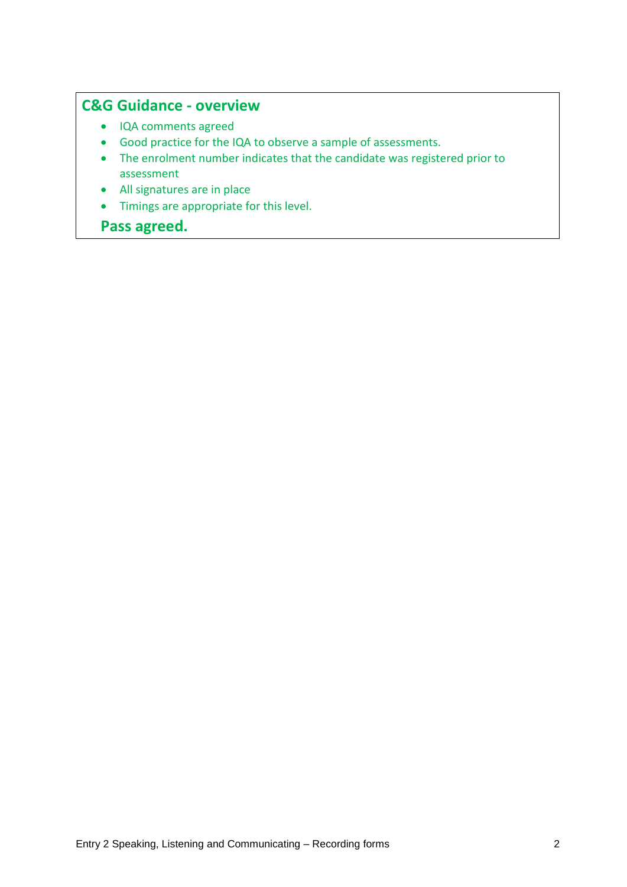### **C&G Guidance - overview**

- IQA comments agreed
- Good practice for the IQA to observe a sample of assessments.
- The enrolment number indicates that the candidate was registered prior to assessment
- All signatures are in place
- Timings are appropriate for this level.

### **Pass agreed.**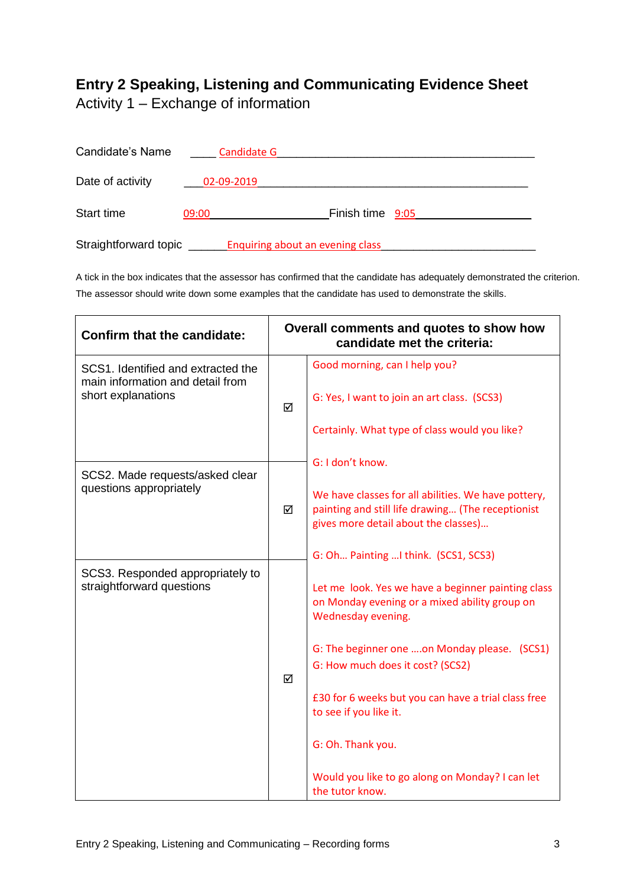## **Entry 2 Speaking, Listening and Communicating Evidence Sheet**

Activity 1 – Exchange of information

| Candidate's Name      | Candidate G |                                         |  |
|-----------------------|-------------|-----------------------------------------|--|
| Date of activity      | 02-09-2019  |                                         |  |
| <b>Start time</b>     | 09:00       | Finish time 9:05                        |  |
| Straightforward topic |             | <b>Enquiring about an evening class</b> |  |

A tick in the box indicates that the assessor has confirmed that the candidate has adequately demonstrated the criterion. The assessor should write down some examples that the candidate has used to demonstrate the skills.

| <b>Confirm that the candidate:</b>                                     | Overall comments and quotes to show how<br>candidate met the criteria: |                                                                                                                                                  |
|------------------------------------------------------------------------|------------------------------------------------------------------------|--------------------------------------------------------------------------------------------------------------------------------------------------|
| SCS1. Identified and extracted the<br>main information and detail from | ☑                                                                      | Good morning, can I help you?                                                                                                                    |
| short explanations                                                     |                                                                        | G: Yes, I want to join an art class. (SCS3)                                                                                                      |
|                                                                        |                                                                        | Certainly. What type of class would you like?                                                                                                    |
| SCS2. Made requests/asked clear                                        |                                                                        | G: I don't know.                                                                                                                                 |
| questions appropriately                                                | ☑<br>☑                                                                 | We have classes for all abilities. We have pottery,<br>painting and still life drawing (The receptionist<br>gives more detail about the classes) |
|                                                                        |                                                                        | G: Oh Painting  I think. (SCS1, SCS3)                                                                                                            |
| SCS3. Responded appropriately to<br>straightforward questions          |                                                                        | Let me look. Yes we have a beginner painting class<br>on Monday evening or a mixed ability group on<br>Wednesday evening.                        |
|                                                                        |                                                                        | G: The beginner one on Monday please. (SCS1)<br>G: How much does it cost? (SCS2)                                                                 |
|                                                                        |                                                                        | £30 for 6 weeks but you can have a trial class free<br>to see if you like it.                                                                    |
|                                                                        |                                                                        | G: Oh. Thank you.                                                                                                                                |
|                                                                        |                                                                        | Would you like to go along on Monday? I can let<br>the tutor know.                                                                               |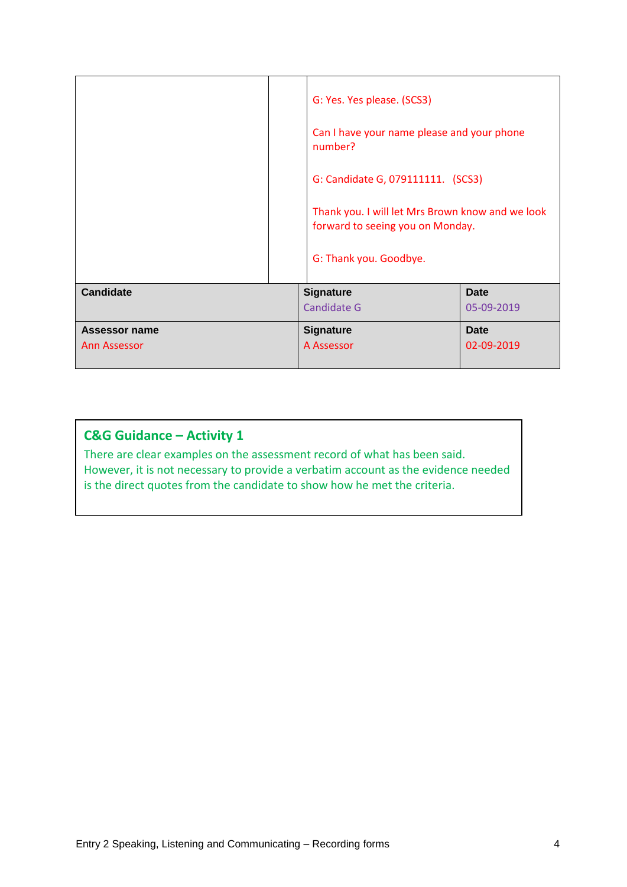|                                      |  | G: Yes. Yes please. (SCS3)<br>Can I have your name please and your phone<br>number?<br>G: Candidate G, 079111111. (SCS3)<br>Thank you. I will let Mrs Brown know and we look<br>forward to seeing you on Monday.<br>G: Thank you. Goodbye. |                           |
|--------------------------------------|--|--------------------------------------------------------------------------------------------------------------------------------------------------------------------------------------------------------------------------------------------|---------------------------|
| <b>Candidate</b>                     |  | <b>Signature</b><br><b>Candidate G</b>                                                                                                                                                                                                     | <b>Date</b><br>05-09-2019 |
| <b>Assessor name</b><br>Ann Assessor |  | <b>Signature</b><br>A Assessor                                                                                                                                                                                                             | Date<br>02-09-2019        |

### **C&G Guidance – Activity 1**

There are clear examples on the assessment record of what has been said. However, it is not necessary to provide a verbatim account as the evidence needed is the direct quotes from the candidate to show how he met the criteria.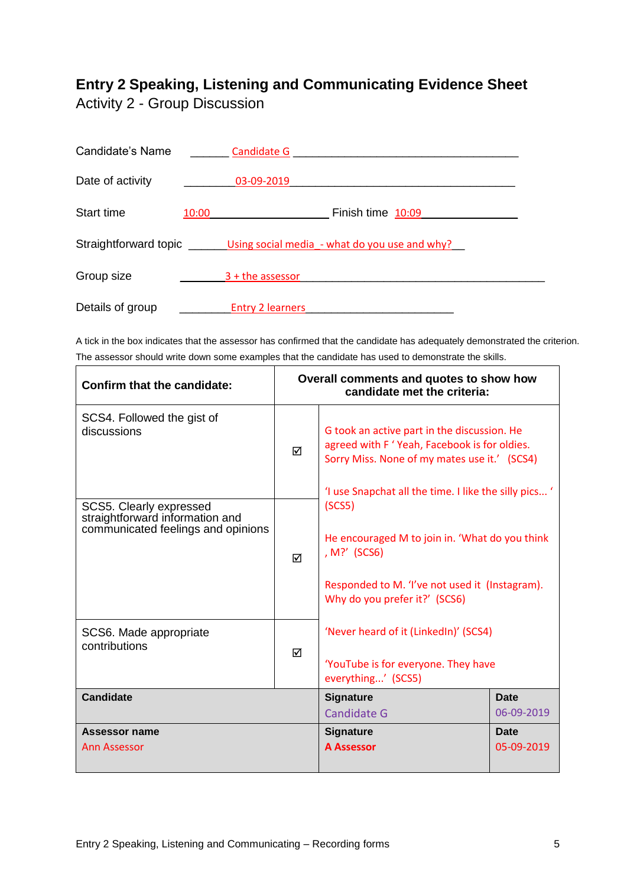### **Entry 2 Speaking, Listening and Communicating Evidence Sheet** Activity 2 - Group Discussion

| Candidate's Name  |       | <b>Candidate G</b>                                                           |
|-------------------|-------|------------------------------------------------------------------------------|
| Date of activity  |       | 03-09-2019                                                                   |
| <b>Start time</b> | 10:00 | Finish time 10:09                                                            |
|                   |       | Straightforward topic _________Using social media - what do you use and why? |
| Group size        |       | $3 +$ the assessor                                                           |
| Details of group  |       | <b>Entry 2 learners</b>                                                      |

A tick in the box indicates that the assessor has confirmed that the candidate has adequately demonstrated the criterion. The assessor should write down some examples that the candidate has used to demonstrate the skills.

| Confirm that the candidate:                                                                      | Overall comments and quotes to show how<br>candidate met the criteria: |                                                                                                                                                                                                      |                           |
|--------------------------------------------------------------------------------------------------|------------------------------------------------------------------------|------------------------------------------------------------------------------------------------------------------------------------------------------------------------------------------------------|---------------------------|
| SCS4. Followed the gist of<br>discussions                                                        | ☑                                                                      | G took an active part in the discussion. He<br>agreed with F 'Yeah, Facebook is for oldies.<br>Sorry Miss. None of my mates use it.' (SCS4)<br>'I use Snapchat all the time. I like the silly pics ' |                           |
| SCS5. Clearly expressed<br>straightforward information and<br>communicated feelings and opinions | ☑                                                                      | (SCS5)<br>He encouraged M to join in. 'What do you think<br>, M?' (SCS6)<br>Responded to M. 'I've not used it (Instagram).<br>Why do you prefer it?' (SCS6)                                          |                           |
| SCS6. Made appropriate<br>contributions                                                          | ☑                                                                      | 'Never heard of it (LinkedIn)' (SCS4)<br>'YouTube is for everyone. They have<br>everything' (SCS5)                                                                                                   |                           |
| <b>Candidate</b>                                                                                 |                                                                        | Signature<br>Candidate G                                                                                                                                                                             | <b>Date</b><br>06-09-2019 |
| Assessor name<br>Ann Assessor                                                                    |                                                                        | <b>Signature</b><br><b>A Assessor</b>                                                                                                                                                                | <b>Date</b><br>05-09-2019 |